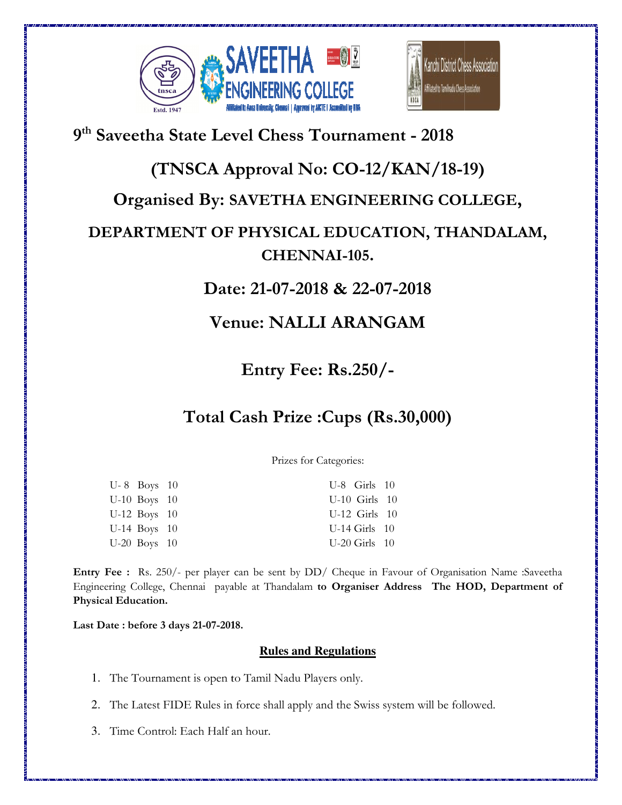



## **9 th Saveetha State Level Chess Tournament - 2018**

## **(TNSCA Approval No: CO-12/KAN/18-19 19)**

#### **Organised By: SAVETHA ENGINEERING COLLEGE ,**

# **DEPARTMENT OF PHYSICAL EDUCATION, THANDALAM, SAVETHA ENGINEERING COLLEGE,<br>• PHYSICAL EDUCATION, THANDALAM,<br>CHENNAI-105.**

### **Date: Date: 21-07-2018 & 22-07-2018**

## **Venue: Venue: NALLI ARANGAM**

**Entry Fee: Rs.250/-** 

## **Total Cash Prize Cash Prize :Cups (Rs.30,000)**

Prizes for Categories:

| $U-8$ Boys 10  | $U-8$ Girls 10    |
|----------------|-------------------|
| $U-10$ Boys 10 | $U-10$ Girls $10$ |
| $U-12$ Boys 10 | $U-12$ Girls $10$ |
| $U-14$ Boys 10 | $U-14$ Girls $10$ |
| $U-20$ Boys 10 | $U-20$ Girls $10$ |

**Entry Fee :** Rs. 250/- per player can be sent by DD/ Cheque in Favour of Organisation Name :Saveetha Engineering College, Chennai payable at Thandalam to Organiser Address The HOD, Department of **Physical Education.** 

**Last Date : before 3 days 21-07-201 2018.**

#### **Rules and Regulations**

- 1. The Tournament is open to Tamil Nadu Players only.
- 2. The Latest FIDE Rules in force shall apply and the Swiss system will be followed. The Tournament is open to Tamil Nadu Players only.<br>The Latest FIDE Rules in force shall apply and the Swiss system will be<br>Time Control: Each Half an hour.
- 3. Time Control: Each Half an hour.